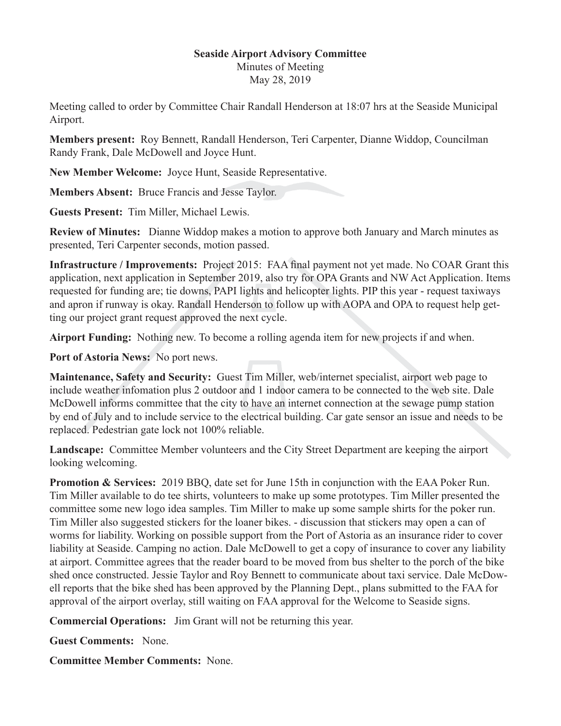## **Seaside Airport Advisory Committee**

Minutes of Meeting May 28, 2019

Meeting called to order by Committee Chair Randall Henderson at 18:07 hrs at the Seaside Municipal Airport.

**Members present:** Roy Bennett, Randall Henderson, Teri Carpenter, Dianne Widdop, Councilman Randy Frank, Dale McDowell and Joyce Hunt.

**New Member Welcome:** Joyce Hunt, Seaside Representative.

**Members Absent:** Bruce Francis and Jesse Taylor.

**Guests Present:** Tim Miller, Michael Lewis.

**Review of Minutes:** Dianne Widdop makes a motion to approve both January and March minutes as presented, Teri Carpenter seconds, motion passed.

**Infrastructure / Improvements:** Project 2015: FAA final payment not yet made. No COAR Grant this application, next application in September 2019, also try for OPA Grants and NW Act Application. Items requested for funding are; tie downs, PAPI lights and helicopter lights. PIP this year - request taxiways and apron if runway is okay. Randall Henderson to follow up with AOPA and OPA to request help getting our project grant request approved the next cycle.

**Airport Funding:** Nothing new. To become a rolling agenda item for new projects if and when.

**Port of Astoria News:** No port news.

**Maintenance, Safety and Security:** Guest Tim Miller, web/internet specialist, airport web page to include weather infomation plus 2 outdoor and 1 indoor camera to be connected to the web site. Dale McDowell informs committee that the city to have an internet connection at the sewage pump station by end of July and to include service to the electrical building. Car gate sensor an issue and needs to be replaced. Pedestrian gate lock not 100% reliable.

**Landscape:** Committee Member volunteers and the City Street Department are keeping the airport looking welcoming.

**Promotion & Services:** 2019 BBQ, date set for June 15th in conjunction with the EAA Poker Run. Tim Miller available to do tee shirts, volunteers to make up some prototypes. Tim Miller presented the committee some new logo idea samples. Tim Miller to make up some sample shirts for the poker run. Tim Miller also suggested stickers for the loaner bikes. - discussion that stickers may open a can of worms for liability. Working on possible support from the Port of Astoria as an insurance rider to cover liability at Seaside. Camping no action. Dale McDowell to get a copy of insurance to cover any liability at airport. Committee agrees that the reader board to be moved from bus shelter to the porch of the bike shed once constructed. Jessie Taylor and Roy Bennett to communicate about taxi service. Dale McDowell reports that the bike shed has been approved by the Planning Dept., plans submitted to the FAA for approval of the airport overlay, still waiting on FAA approval for the Welcome to Seaside signs.

**Commercial Operations:** Jim Grant will not be returning this year.

**Guest Comments:** None.

**Committee Member Comments:** None.